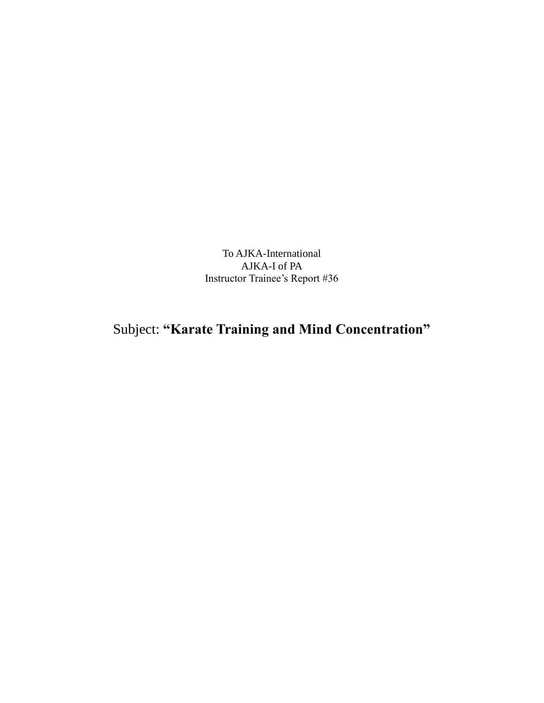To AJKA-International AJKA-I of PA Instructor Trainee's Report #36

## Subject: **"Karate Training and Mind Concentration"**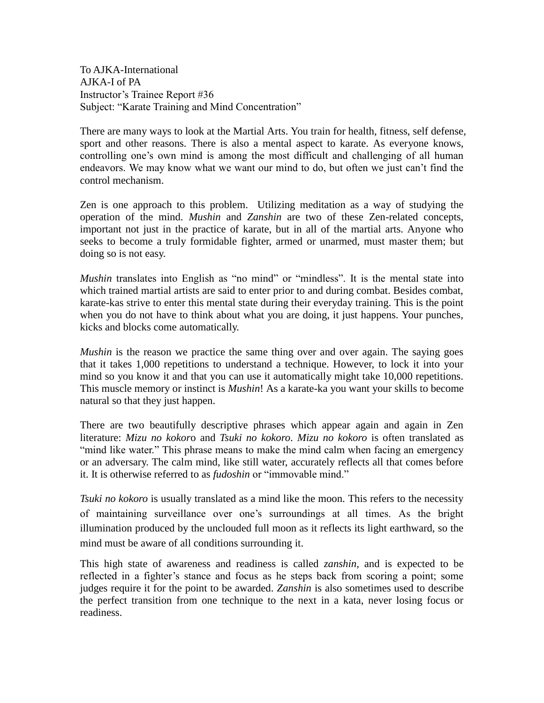To AJKA-International AJKA-I of PA Instructor's Trainee Report #36 Subject: "Karate Training and Mind Concentration"

There are many ways to look at the Martial Arts. You train for health, fitness, self defense, sport and other reasons. There is also a mental aspect to karate. As everyone knows, controlling one's own mind is among the most difficult and challenging of all human endeavors. We may know what we want our mind to do, but often we just can't find the control mechanism.

Zen is one approach to this problem. Utilizing meditation as a way of studying the operation of the mind. *Mushin* and *Zanshin* are two of these Zen-related concepts, important not just in the practice of karate, but in all of the martial arts. Anyone who seeks to become a truly formidable fighter, armed or unarmed, must master them; but doing so is not easy.

*Mushin* translates into English as "no mind" or "mindless". It is the mental state into which trained martial artists are said to enter prior to and during combat. Besides combat, karate-kas strive to enter this mental state during their everyday training. This is the point when you do not have to think about what you are doing, it just happens. Your punches, kicks and blocks come automatically.

*Mushin* is the reason we practice the same thing over and over again. The saying goes that it takes 1,000 repetitions to understand a technique. However, to lock it into your mind so you know it and that you can use it automatically might take 10,000 repetitions. This muscle memory or instinct is *Mushin*! As a karate-ka you want your skills to become natural so that they just happen.

There are two beautifully descriptive phrases which appear again and again in Zen literature: *Mizu no kokor*o and *Tsuki no kokoro*. *Mizu no kokoro* is often translated as "mind like water." This phrase means to make the mind calm when facing an emergency or an adversary. The calm mind, like still water, accurately reflects all that comes before it. It is otherwise referred to as *fudoshin* or "immovable mind."

*Tsuki no kokoro* is usually translated as a mind like the moon. This refers to the necessity of maintaining surveillance over one's surroundings at all times. As the bright illumination produced by the unclouded full moon as it reflects its light earthward, so the mind must be aware of all conditions surrounding it.

This high state of awareness and readiness is called *zanshin*, and is expected to be reflected in a fighter's stance and focus as he steps back from scoring a point; some judges require it for the point to be awarded. *Zanshin* is also sometimes used to describe the perfect transition from one technique to the next in a kata, never losing focus or readiness.